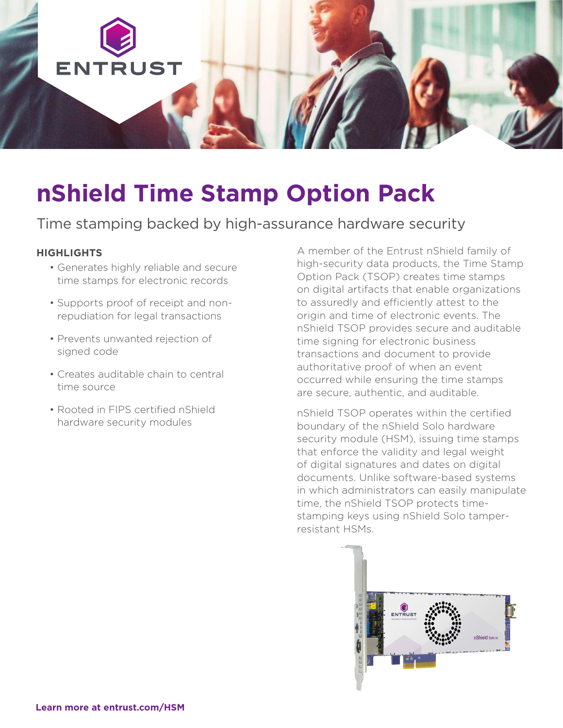

# **nShield Time Stamp Option Pack**

## Time stamping backed by high-assurance hardware security

#### **HIGHLIGHTS**

- Generates highly reliable and secure time stamps for electronic records
- Supports proof of receipt and nonrepudiation for legal transactions
- Prevents unwanted rejection of signed code
- Creates auditable chain to central time source
- Rooted in FIPS certified nShield hardware security modules

A member of the Entrust nShield family of high-security data products, the Time Stamp Option Pack (TSOP) creates time stamps on digital artifacts that enable organizations to assuredly and efficiently attest to the origin and time of electronic events. The nShield TSOP provides secure and auditable time signing for electronic business transactions and document to provide authoritative proof of when an event occurred while ensuring the time stamps are secure, authentic, and auditable.

nShield TSOP operates within the certified boundary of the nShield Solo hardware security module (HSM), issuing time stamps that enforce the validity and legal weight of digital signatures and dates on digital documents. Unlike software-based systems in which administrators can easily manipulate time, the nShield TSOP protects timestamping keys using nShield Solo tamperresistant HSMs.